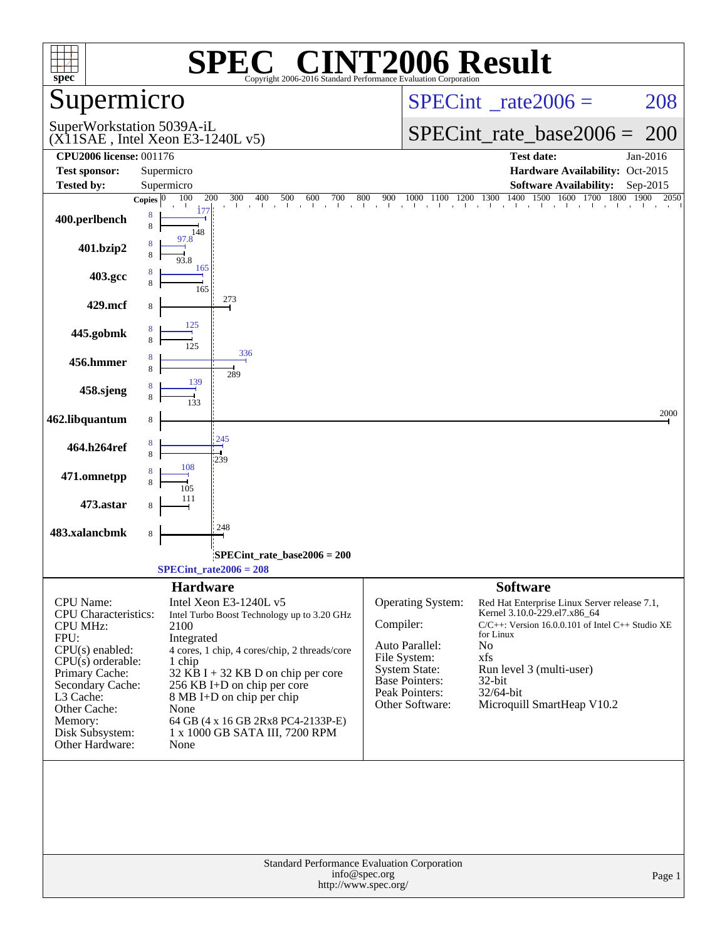| spec <sup>®</sup>                                                   | SPEC<br>Copyright 2006-2016 Standard Performance Evaluation Corporation                     | <b>C® CINT2006 Result</b>                                                                                                                                                                                                                                                                                                                                                                            |
|---------------------------------------------------------------------|---------------------------------------------------------------------------------------------|------------------------------------------------------------------------------------------------------------------------------------------------------------------------------------------------------------------------------------------------------------------------------------------------------------------------------------------------------------------------------------------------------|
| Supermicro                                                          |                                                                                             | $SPECint^{\circ}$ <sub>_rate2006</sub> =<br>208                                                                                                                                                                                                                                                                                                                                                      |
|                                                                     | SuperWorkstation 5039A-iL<br>$(X11SAE$ , Intel Xeon E3-1240L v5)                            | $SPECint_rate\_base2006 =$<br><b>200</b>                                                                                                                                                                                                                                                                                                                                                             |
| <b>CPU2006 license: 001176</b><br><b>Test sponsor:</b>              | Supermicro                                                                                  | <b>Test date:</b><br>Jan-2016<br>Hardware Availability: Oct-2015                                                                                                                                                                                                                                                                                                                                     |
| <b>Tested by:</b>                                                   | Supermicro                                                                                  | <b>Software Availability:</b><br>Sep-2015                                                                                                                                                                                                                                                                                                                                                            |
|                                                                     | 100<br>200<br>300<br>400<br>Copies $ 0\rangle$                                              | $\frac{500}{1} \quad \frac{600}{1} \quad \frac{700}{1} \quad \frac{800}{1} \quad \frac{900}{1} \quad \frac{1000}{1} \quad \frac{1100}{1} \quad \frac{1200}{1} \quad \frac{1300}{1} \quad \frac{1400}{1} \quad \frac{1500}{1} \quad \frac{1600}{1} \quad \frac{1700}{1} \quad \frac{1800}{1} \quad \frac{1900}{1} \quad \frac{2050}{1} \quad \frac{1500}{1} \quad \frac{1500}{1} \quad \frac{1500}{1$ |
| 400.perlbench                                                       | 8<br>8<br>148                                                                               |                                                                                                                                                                                                                                                                                                                                                                                                      |
| 401.bzip2                                                           |                                                                                             |                                                                                                                                                                                                                                                                                                                                                                                                      |
| 403.gcc                                                             | 165<br>165                                                                                  |                                                                                                                                                                                                                                                                                                                                                                                                      |
| 429.mcf                                                             | 273<br>8                                                                                    |                                                                                                                                                                                                                                                                                                                                                                                                      |
| 445.gobmk                                                           | 125                                                                                         |                                                                                                                                                                                                                                                                                                                                                                                                      |
| 456.hmmer                                                           | 336<br>289                                                                                  |                                                                                                                                                                                                                                                                                                                                                                                                      |
| 458.sjeng                                                           | 139                                                                                         |                                                                                                                                                                                                                                                                                                                                                                                                      |
| 462.libquantum                                                      | 8                                                                                           | 2000                                                                                                                                                                                                                                                                                                                                                                                                 |
| 464.h264ref                                                         | 245<br>239                                                                                  |                                                                                                                                                                                                                                                                                                                                                                                                      |
| 471.omnetpp                                                         | 108<br>105                                                                                  |                                                                                                                                                                                                                                                                                                                                                                                                      |
| 473.astar                                                           | 111                                                                                         |                                                                                                                                                                                                                                                                                                                                                                                                      |
| 483.xalancbmk                                                       | 248<br>8                                                                                    |                                                                                                                                                                                                                                                                                                                                                                                                      |
|                                                                     | SPECint_rate_base2006 = $200$<br>$SPECint_rate2006 = 208$                                   |                                                                                                                                                                                                                                                                                                                                                                                                      |
|                                                                     | <b>Hardware</b>                                                                             | <b>Software</b>                                                                                                                                                                                                                                                                                                                                                                                      |
| CPU Name:<br><b>CPU</b> Characteristics:<br><b>CPU MHz:</b><br>FPU: | Intel Xeon E3-1240L v5<br>Intel Turbo Boost Technology up to 3.20 GHz<br>2100<br>Integrated | Operating System:<br>Red Hat Enterprise Linux Server release 7.1,<br>Kernel 3.10.0-229.el7.x86_64<br>Compiler:<br>$C/C++$ : Version 16.0.0.101 of Intel $C++$ Studio XE<br>for Linux                                                                                                                                                                                                                 |
| $CPU(s)$ enabled:                                                   | 4 cores, 1 chip, 4 cores/chip, 2 threads/core                                               | Auto Parallel:<br>No<br>File System:<br>xfs                                                                                                                                                                                                                                                                                                                                                          |
| $CPU(s)$ orderable:<br>Primary Cache:                               | 1 chip<br>$32$ KB I + 32 KB D on chip per core                                              | <b>System State:</b><br>Run level 3 (multi-user)                                                                                                                                                                                                                                                                                                                                                     |
| Secondary Cache:                                                    | 256 KB I+D on chip per core                                                                 | <b>Base Pointers:</b><br>32-bit<br>Peak Pointers:<br>32/64-bit                                                                                                                                                                                                                                                                                                                                       |
| L3 Cache:<br>Other Cache:                                           | 8 MB I+D on chip per chip<br>None                                                           | Microquill SmartHeap V10.2<br>Other Software:                                                                                                                                                                                                                                                                                                                                                        |
| Memory:<br>Disk Subsystem:                                          | 64 GB (4 x 16 GB 2Rx8 PC4-2133P-E)<br>1 x 1000 GB SATA III, 7200 RPM                        |                                                                                                                                                                                                                                                                                                                                                                                                      |
| Other Hardware:                                                     | None                                                                                        |                                                                                                                                                                                                                                                                                                                                                                                                      |
|                                                                     |                                                                                             |                                                                                                                                                                                                                                                                                                                                                                                                      |
|                                                                     | Standard Performance Evaluation Corporation<br>info@spec.org<br>http://www.spec.org/        | Page 1                                                                                                                                                                                                                                                                                                                                                                                               |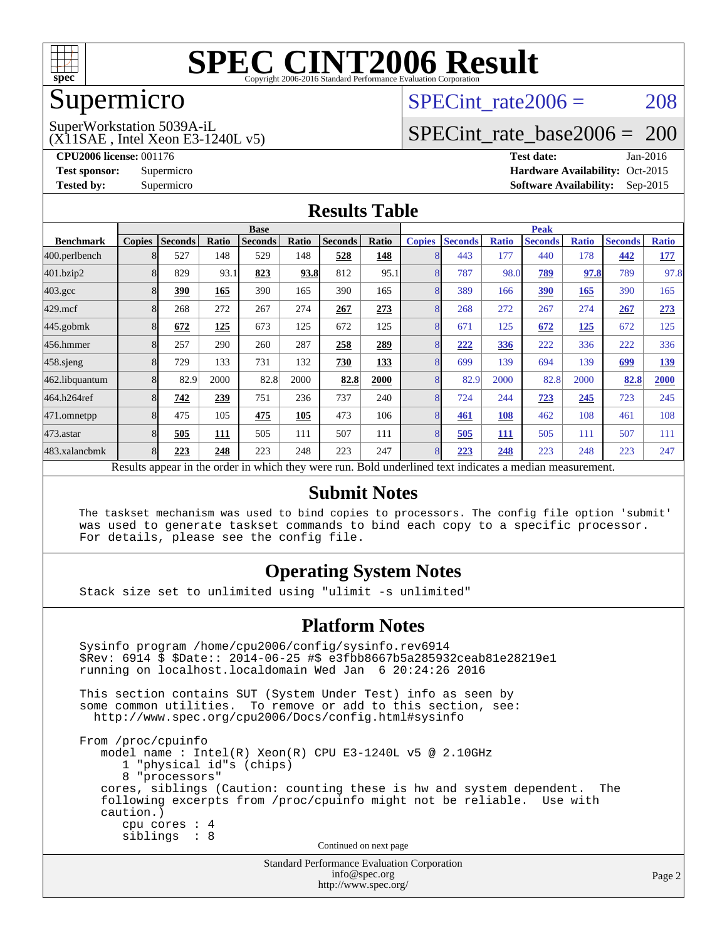

#### Supermicro

### SPECint rate $2006 = 208$

(X11SAE , Intel Xeon E3-1240L v5) SuperWorkstation 5039A-iL

[SPECint\\_rate\\_base2006 =](http://www.spec.org/auto/cpu2006/Docs/result-fields.html#SPECintratebase2006) 200

**[CPU2006 license:](http://www.spec.org/auto/cpu2006/Docs/result-fields.html#CPU2006license)** 001176 **[Test date:](http://www.spec.org/auto/cpu2006/Docs/result-fields.html#Testdate)** Jan-2016 **[Test sponsor:](http://www.spec.org/auto/cpu2006/Docs/result-fields.html#Testsponsor)** Supermicro Supermicro **[Hardware Availability:](http://www.spec.org/auto/cpu2006/Docs/result-fields.html#HardwareAvailability)** Oct-2015 **[Tested by:](http://www.spec.org/auto/cpu2006/Docs/result-fields.html#Testedby)** Supermicro **Supermicro [Software Availability:](http://www.spec.org/auto/cpu2006/Docs/result-fields.html#SoftwareAvailability)** Sep-2015

#### **[Results Table](http://www.spec.org/auto/cpu2006/Docs/result-fields.html#ResultsTable)**

|                                                                                                          | <b>Base</b>   |                |       |                |       |                | <b>Peak</b> |               |                |              |                |              |                |              |
|----------------------------------------------------------------------------------------------------------|---------------|----------------|-------|----------------|-------|----------------|-------------|---------------|----------------|--------------|----------------|--------------|----------------|--------------|
| <b>Benchmark</b>                                                                                         | <b>Copies</b> | <b>Seconds</b> | Ratio | <b>Seconds</b> | Ratio | <b>Seconds</b> | Ratio       | <b>Copies</b> | <b>Seconds</b> | <b>Ratio</b> | <b>Seconds</b> | <b>Ratio</b> | <b>Seconds</b> | <b>Ratio</b> |
| 400.perlbench                                                                                            | 8             | 527            | 148   | 529            | 148   | 528            | 148         | 8             | 443            | 177          | 440            | 178          | 442            | <u>177</u>   |
| 401.bzip2                                                                                                | 8             | 829            | 93.1  | 823            | 93.8  | 812            | 95.1        | 8             | 787            | 98.0         | 789            | 97.8         | 789            | 97.8         |
| $403.\mathrm{gcc}$                                                                                       |               | 390            | 165   | 390            | 165   | 390            | 165         | 8             | 389            | 166          | 390            | 165          | 390            | 165          |
| $429$ .mcf                                                                                               | 8             | 268            | 272   | 267            | 274   | 267            | 273         | 8             | 268            | 272          | 267            | 274          | 267            | 273          |
| $445$ .gobm $k$                                                                                          | 8             | 672            | 125   | 673            | 125   | 672            | 125         | 8             | 671            | 125          | 672            | <u>125</u>   | 672            | 125          |
| 456.hmmer                                                                                                | 8             | 257            | 290   | 260            | 287   | 258            | 289         | 8             | 222            | 336          | 222            | 336          | 222            | 336          |
| 458.sjeng                                                                                                | 8             | 729            | 133   | 731            | 132   | 730            | 133         | 8             | 699            | 139          | 694            | 139          | 699            | <u>139</u>   |
| 462.libquantum                                                                                           |               | 82.9           | 2000  | 82.8           | 2000  | 82.8           | 2000        | 8             | 82.9           | 2000         | 82.8           | 2000         | 82.8           | 2000         |
| 464.h264ref                                                                                              | 8             | 742            | 239   | 751            | 236   | 737            | 240         | 8             | 724            | 244          | 723            | 245          | 723            | 245          |
| 471.omnetpp                                                                                              | 8             | 475            | 105   | 475            | 105   | 473            | 106         | 8             | 461            | 108          | 462            | 108          | 461            | 108          |
| 473.astar                                                                                                | 8             | 505            | 111   | 505            | 111   | 507            | 111         | 8             | 505            | 111          | 505            | 111          | 507            | 111          |
| 483.xalancbmk                                                                                            | 8             | 223            | 248   | 223            | 248   | 223            | 247         | 8             | 223            | 248          | 223            | 248          | 223            | 247          |
| Results appear in the order in which they were run. Bold underlined text indicates a median measurement. |               |                |       |                |       |                |             |               |                |              |                |              |                |              |

#### **[Submit Notes](http://www.spec.org/auto/cpu2006/Docs/result-fields.html#SubmitNotes)**

 The taskset mechanism was used to bind copies to processors. The config file option 'submit' was used to generate taskset commands to bind each copy to a specific processor. For details, please see the config file.

#### **[Operating System Notes](http://www.spec.org/auto/cpu2006/Docs/result-fields.html#OperatingSystemNotes)**

Stack size set to unlimited using "ulimit -s unlimited"

#### **[Platform Notes](http://www.spec.org/auto/cpu2006/Docs/result-fields.html#PlatformNotes)**

 Sysinfo program /home/cpu2006/config/sysinfo.rev6914 \$Rev: 6914 \$ \$Date:: 2014-06-25 #\$ e3fbb8667b5a285932ceab81e28219e1 running on localhost.localdomain Wed Jan 6 20:24:26 2016 This section contains SUT (System Under Test) info as seen by some common utilities. To remove or add to this section, see: <http://www.spec.org/cpu2006/Docs/config.html#sysinfo> From /proc/cpuinfo model name : Intel(R) Xeon(R) CPU E3-1240L v5 @ 2.10GHz 1 "physical id"s (chips) 8 "processors" cores, siblings (Caution: counting these is hw and system dependent. The following excerpts from /proc/cpuinfo might not be reliable. Use with caution.) cpu cores : 4 siblings : 8 Continued on next page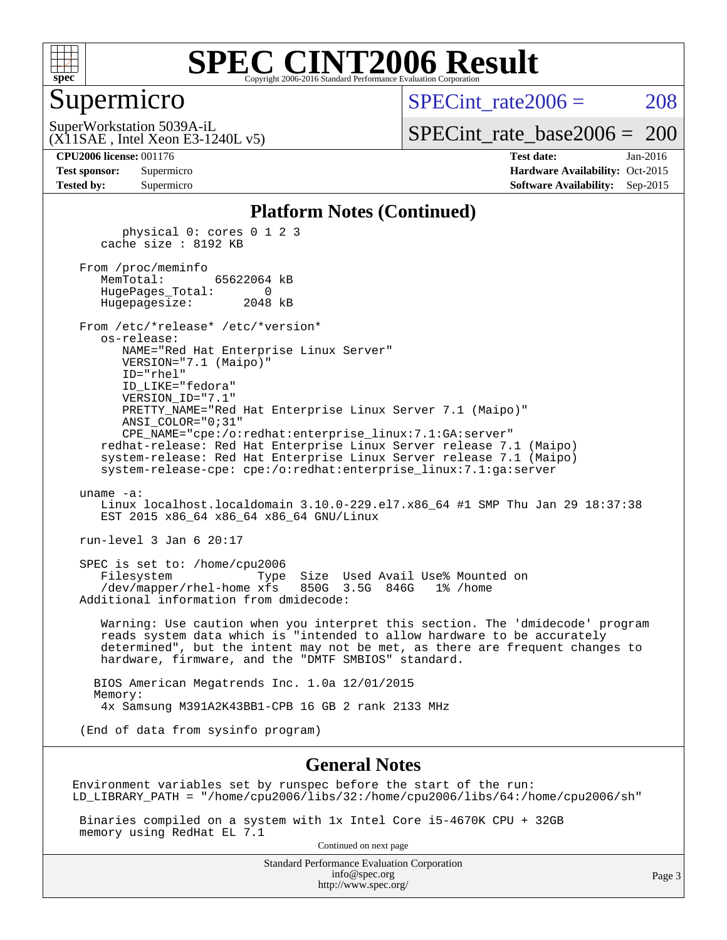

#### Supermicro

SPECint rate $2006 = 208$ 

(X11SAE , Intel Xeon E3-1240L v5) SuperWorkstation 5039A-iL

[SPECint\\_rate\\_base2006 =](http://www.spec.org/auto/cpu2006/Docs/result-fields.html#SPECintratebase2006) 200

**[CPU2006 license:](http://www.spec.org/auto/cpu2006/Docs/result-fields.html#CPU2006license)** 001176 **[Test date:](http://www.spec.org/auto/cpu2006/Docs/result-fields.html#Testdate)** Jan-2016 **[Test sponsor:](http://www.spec.org/auto/cpu2006/Docs/result-fields.html#Testsponsor)** Supermicro Supermicro **[Hardware Availability:](http://www.spec.org/auto/cpu2006/Docs/result-fields.html#HardwareAvailability)** Oct-2015 **[Tested by:](http://www.spec.org/auto/cpu2006/Docs/result-fields.html#Testedby)** Supermicro **Supermicro [Software Availability:](http://www.spec.org/auto/cpu2006/Docs/result-fields.html#SoftwareAvailability)** Sep-2015

#### **[Platform Notes \(Continued\)](http://www.spec.org/auto/cpu2006/Docs/result-fields.html#PlatformNotes)**

 physical 0: cores 0 1 2 3 cache size : 8192 KB From /proc/meminfo MemTotal: 65622064 kB HugePages\_Total: 0 Hugepagesize: 2048 kB From /etc/\*release\* /etc/\*version\* os-release: NAME="Red Hat Enterprise Linux Server" VERSION="7.1 (Maipo)" ID="rhel" ID\_LIKE="fedora" VERSION\_ID="7.1" PRETTY\_NAME="Red Hat Enterprise Linux Server 7.1 (Maipo)" ANSI\_COLOR="0;31" CPE\_NAME="cpe:/o:redhat:enterprise\_linux:7.1:GA:server" redhat-release: Red Hat Enterprise Linux Server release 7.1 (Maipo) system-release: Red Hat Enterprise Linux Server release 7.1 (Maipo) system-release-cpe: cpe:/o:redhat:enterprise\_linux:7.1:ga:server uname -a: Linux localhost.localdomain 3.10.0-229.el7.x86\_64 #1 SMP Thu Jan 29 18:37:38 EST 2015 x86 64 x86 64 x86 64 GNU/Linux run-level 3 Jan 6 20:17 SPEC is set to: /home/cpu2006 Filesystem Type Size Used Avail Use% Mounted on /dev/mapper/rhel-home xfs 850G 3.5G 846G 1% /home Additional information from dmidecode: Warning: Use caution when you interpret this section. The 'dmidecode' program reads system data which is "intended to allow hardware to be accurately determined", but the intent may not be met, as there are frequent changes to hardware, firmware, and the "DMTF SMBIOS" standard. BIOS American Megatrends Inc. 1.0a 12/01/2015 Memory: 4x Samsung M391A2K43BB1-CPB 16 GB 2 rank 2133 MHz (End of data from sysinfo program)

#### **[General Notes](http://www.spec.org/auto/cpu2006/Docs/result-fields.html#GeneralNotes)**

Environment variables set by runspec before the start of the run: LD\_LIBRARY\_PATH = "/home/cpu2006/libs/32:/home/cpu2006/libs/64:/home/cpu2006/sh"

 Binaries compiled on a system with 1x Intel Core i5-4670K CPU + 32GB memory using RedHat EL 7.1

Continued on next page

Standard Performance Evaluation Corporation [info@spec.org](mailto:info@spec.org) <http://www.spec.org/>

Page 3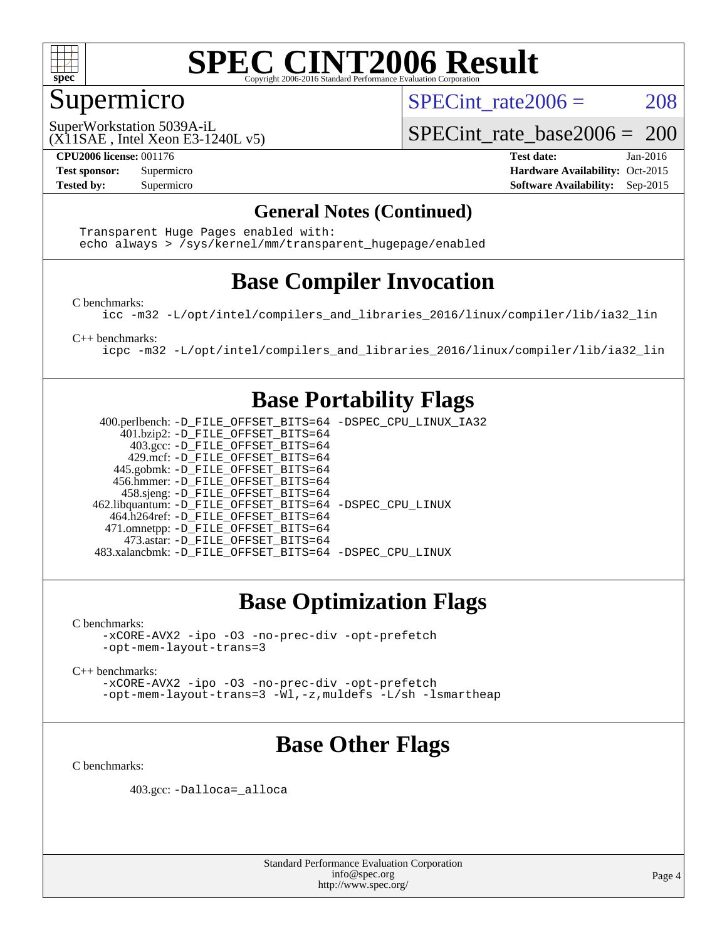

### Supermicro

SPECint rate $2006 = 208$ 

(X11SAE , Intel Xeon E3-1240L v5) SuperWorkstation 5039A-iL

SPECint rate base2006 =  $200$ 

**[CPU2006 license:](http://www.spec.org/auto/cpu2006/Docs/result-fields.html#CPU2006license)** 001176 **[Test date:](http://www.spec.org/auto/cpu2006/Docs/result-fields.html#Testdate)** Jan-2016 **[Test sponsor:](http://www.spec.org/auto/cpu2006/Docs/result-fields.html#Testsponsor)** Supermicro Supermicro **[Hardware Availability:](http://www.spec.org/auto/cpu2006/Docs/result-fields.html#HardwareAvailability)** Oct-2015 **[Tested by:](http://www.spec.org/auto/cpu2006/Docs/result-fields.html#Testedby)** Supermicro **Supermicro [Software Availability:](http://www.spec.org/auto/cpu2006/Docs/result-fields.html#SoftwareAvailability)** Sep-2015

#### **[General Notes \(Continued\)](http://www.spec.org/auto/cpu2006/Docs/result-fields.html#GeneralNotes)**

 Transparent Huge Pages enabled with: echo always > /sys/kernel/mm/transparent\_hugepage/enabled

### **[Base Compiler Invocation](http://www.spec.org/auto/cpu2006/Docs/result-fields.html#BaseCompilerInvocation)**

[C benchmarks](http://www.spec.org/auto/cpu2006/Docs/result-fields.html#Cbenchmarks):

[icc -m32 -L/opt/intel/compilers\\_and\\_libraries\\_2016/linux/compiler/lib/ia32\\_lin](http://www.spec.org/cpu2006/results/res2016q1/cpu2006-20160111-38665.flags.html#user_CCbase_intel_icc_e10256ba5924b668798078a321b0cb3f)

[C++ benchmarks:](http://www.spec.org/auto/cpu2006/Docs/result-fields.html#CXXbenchmarks)

[icpc -m32 -L/opt/intel/compilers\\_and\\_libraries\\_2016/linux/compiler/lib/ia32\\_lin](http://www.spec.org/cpu2006/results/res2016q1/cpu2006-20160111-38665.flags.html#user_CXXbase_intel_icpc_b4f50a394bdb4597aa5879c16bc3f5c5)

#### **[Base Portability Flags](http://www.spec.org/auto/cpu2006/Docs/result-fields.html#BasePortabilityFlags)**

 400.perlbench: [-D\\_FILE\\_OFFSET\\_BITS=64](http://www.spec.org/cpu2006/results/res2016q1/cpu2006-20160111-38665.flags.html#user_basePORTABILITY400_perlbench_file_offset_bits_64_438cf9856305ebd76870a2c6dc2689ab) [-DSPEC\\_CPU\\_LINUX\\_IA32](http://www.spec.org/cpu2006/results/res2016q1/cpu2006-20160111-38665.flags.html#b400.perlbench_baseCPORTABILITY_DSPEC_CPU_LINUX_IA32) 401.bzip2: [-D\\_FILE\\_OFFSET\\_BITS=64](http://www.spec.org/cpu2006/results/res2016q1/cpu2006-20160111-38665.flags.html#user_basePORTABILITY401_bzip2_file_offset_bits_64_438cf9856305ebd76870a2c6dc2689ab) 403.gcc: [-D\\_FILE\\_OFFSET\\_BITS=64](http://www.spec.org/cpu2006/results/res2016q1/cpu2006-20160111-38665.flags.html#user_basePORTABILITY403_gcc_file_offset_bits_64_438cf9856305ebd76870a2c6dc2689ab) 429.mcf: [-D\\_FILE\\_OFFSET\\_BITS=64](http://www.spec.org/cpu2006/results/res2016q1/cpu2006-20160111-38665.flags.html#user_basePORTABILITY429_mcf_file_offset_bits_64_438cf9856305ebd76870a2c6dc2689ab) 445.gobmk: [-D\\_FILE\\_OFFSET\\_BITS=64](http://www.spec.org/cpu2006/results/res2016q1/cpu2006-20160111-38665.flags.html#user_basePORTABILITY445_gobmk_file_offset_bits_64_438cf9856305ebd76870a2c6dc2689ab) 456.hmmer: [-D\\_FILE\\_OFFSET\\_BITS=64](http://www.spec.org/cpu2006/results/res2016q1/cpu2006-20160111-38665.flags.html#user_basePORTABILITY456_hmmer_file_offset_bits_64_438cf9856305ebd76870a2c6dc2689ab) 458.sjeng: [-D\\_FILE\\_OFFSET\\_BITS=64](http://www.spec.org/cpu2006/results/res2016q1/cpu2006-20160111-38665.flags.html#user_basePORTABILITY458_sjeng_file_offset_bits_64_438cf9856305ebd76870a2c6dc2689ab) 462.libquantum: [-D\\_FILE\\_OFFSET\\_BITS=64](http://www.spec.org/cpu2006/results/res2016q1/cpu2006-20160111-38665.flags.html#user_basePORTABILITY462_libquantum_file_offset_bits_64_438cf9856305ebd76870a2c6dc2689ab) [-DSPEC\\_CPU\\_LINUX](http://www.spec.org/cpu2006/results/res2016q1/cpu2006-20160111-38665.flags.html#b462.libquantum_baseCPORTABILITY_DSPEC_CPU_LINUX) 464.h264ref: [-D\\_FILE\\_OFFSET\\_BITS=64](http://www.spec.org/cpu2006/results/res2016q1/cpu2006-20160111-38665.flags.html#user_basePORTABILITY464_h264ref_file_offset_bits_64_438cf9856305ebd76870a2c6dc2689ab) 471.omnetpp: [-D\\_FILE\\_OFFSET\\_BITS=64](http://www.spec.org/cpu2006/results/res2016q1/cpu2006-20160111-38665.flags.html#user_basePORTABILITY471_omnetpp_file_offset_bits_64_438cf9856305ebd76870a2c6dc2689ab) 473.astar: [-D\\_FILE\\_OFFSET\\_BITS=64](http://www.spec.org/cpu2006/results/res2016q1/cpu2006-20160111-38665.flags.html#user_basePORTABILITY473_astar_file_offset_bits_64_438cf9856305ebd76870a2c6dc2689ab) 483.xalancbmk: [-D\\_FILE\\_OFFSET\\_BITS=64](http://www.spec.org/cpu2006/results/res2016q1/cpu2006-20160111-38665.flags.html#user_basePORTABILITY483_xalancbmk_file_offset_bits_64_438cf9856305ebd76870a2c6dc2689ab) [-DSPEC\\_CPU\\_LINUX](http://www.spec.org/cpu2006/results/res2016q1/cpu2006-20160111-38665.flags.html#b483.xalancbmk_baseCXXPORTABILITY_DSPEC_CPU_LINUX)

## **[Base Optimization Flags](http://www.spec.org/auto/cpu2006/Docs/result-fields.html#BaseOptimizationFlags)**

[C benchmarks](http://www.spec.org/auto/cpu2006/Docs/result-fields.html#Cbenchmarks):

[-xCORE-AVX2](http://www.spec.org/cpu2006/results/res2016q1/cpu2006-20160111-38665.flags.html#user_CCbase_f-xAVX2_5f5fc0cbe2c9f62c816d3e45806c70d7) [-ipo](http://www.spec.org/cpu2006/results/res2016q1/cpu2006-20160111-38665.flags.html#user_CCbase_f-ipo) [-O3](http://www.spec.org/cpu2006/results/res2016q1/cpu2006-20160111-38665.flags.html#user_CCbase_f-O3) [-no-prec-div](http://www.spec.org/cpu2006/results/res2016q1/cpu2006-20160111-38665.flags.html#user_CCbase_f-no-prec-div) [-opt-prefetch](http://www.spec.org/cpu2006/results/res2016q1/cpu2006-20160111-38665.flags.html#user_CCbase_f-opt-prefetch) [-opt-mem-layout-trans=3](http://www.spec.org/cpu2006/results/res2016q1/cpu2006-20160111-38665.flags.html#user_CCbase_f-opt-mem-layout-trans_a7b82ad4bd7abf52556d4961a2ae94d5)

[C++ benchmarks:](http://www.spec.org/auto/cpu2006/Docs/result-fields.html#CXXbenchmarks)

[-xCORE-AVX2](http://www.spec.org/cpu2006/results/res2016q1/cpu2006-20160111-38665.flags.html#user_CXXbase_f-xAVX2_5f5fc0cbe2c9f62c816d3e45806c70d7) [-ipo](http://www.spec.org/cpu2006/results/res2016q1/cpu2006-20160111-38665.flags.html#user_CXXbase_f-ipo) [-O3](http://www.spec.org/cpu2006/results/res2016q1/cpu2006-20160111-38665.flags.html#user_CXXbase_f-O3) [-no-prec-div](http://www.spec.org/cpu2006/results/res2016q1/cpu2006-20160111-38665.flags.html#user_CXXbase_f-no-prec-div) [-opt-prefetch](http://www.spec.org/cpu2006/results/res2016q1/cpu2006-20160111-38665.flags.html#user_CXXbase_f-opt-prefetch) [-opt-mem-layout-trans=3](http://www.spec.org/cpu2006/results/res2016q1/cpu2006-20160111-38665.flags.html#user_CXXbase_f-opt-mem-layout-trans_a7b82ad4bd7abf52556d4961a2ae94d5) [-Wl,-z,muldefs](http://www.spec.org/cpu2006/results/res2016q1/cpu2006-20160111-38665.flags.html#user_CXXbase_link_force_multiple1_74079c344b956b9658436fd1b6dd3a8a) [-L/sh -lsmartheap](http://www.spec.org/cpu2006/results/res2016q1/cpu2006-20160111-38665.flags.html#user_CXXbase_SmartHeap_32f6c82aa1ed9c52345d30cf6e4a0499)

## **[Base Other Flags](http://www.spec.org/auto/cpu2006/Docs/result-fields.html#BaseOtherFlags)**

[C benchmarks](http://www.spec.org/auto/cpu2006/Docs/result-fields.html#Cbenchmarks):

403.gcc: [-Dalloca=\\_alloca](http://www.spec.org/cpu2006/results/res2016q1/cpu2006-20160111-38665.flags.html#b403.gcc_baseEXTRA_CFLAGS_Dalloca_be3056838c12de2578596ca5467af7f3)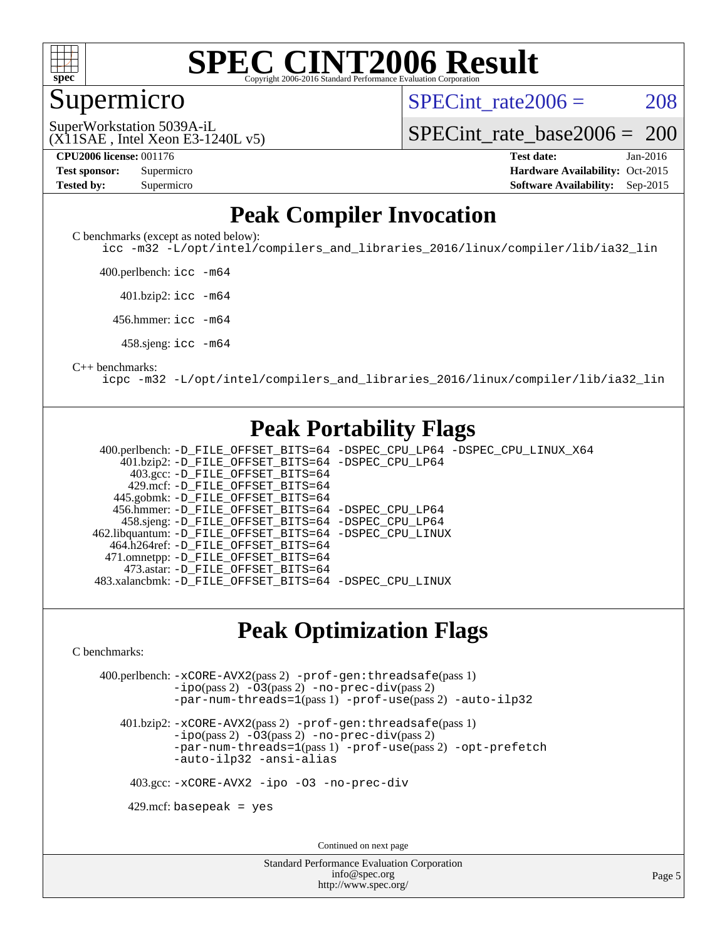

#### **[SPEC CINT2006 Result](http://www.spec.org/auto/cpu2006/Docs/result-fields.html#SPECCINT2006Result)** Copyright 2006-2016 Standard Performance Evaluation C

#### Supermicro

SPECint rate $2006 = 208$ 

(X11SAE , Intel Xeon E3-1240L v5) SuperWorkstation 5039A-iL

[SPECint\\_rate\\_base2006 =](http://www.spec.org/auto/cpu2006/Docs/result-fields.html#SPECintratebase2006) 200

**[CPU2006 license:](http://www.spec.org/auto/cpu2006/Docs/result-fields.html#CPU2006license)** 001176 **[Test date:](http://www.spec.org/auto/cpu2006/Docs/result-fields.html#Testdate)** Jan-2016 **[Test sponsor:](http://www.spec.org/auto/cpu2006/Docs/result-fields.html#Testsponsor)** Supermicro Supermicro **[Hardware Availability:](http://www.spec.org/auto/cpu2006/Docs/result-fields.html#HardwareAvailability)** Oct-2015 **[Tested by:](http://www.spec.org/auto/cpu2006/Docs/result-fields.html#Testedby)** Supermicro **Supermicro [Software Availability:](http://www.spec.org/auto/cpu2006/Docs/result-fields.html#SoftwareAvailability)** Sep-2015

### **[Peak Compiler Invocation](http://www.spec.org/auto/cpu2006/Docs/result-fields.html#PeakCompilerInvocation)**

[C benchmarks \(except as noted below\)](http://www.spec.org/auto/cpu2006/Docs/result-fields.html#Cbenchmarksexceptasnotedbelow):

[icc -m32 -L/opt/intel/compilers\\_and\\_libraries\\_2016/linux/compiler/lib/ia32\\_lin](http://www.spec.org/cpu2006/results/res2016q1/cpu2006-20160111-38665.flags.html#user_CCpeak_intel_icc_e10256ba5924b668798078a321b0cb3f)

400.perlbench: [icc -m64](http://www.spec.org/cpu2006/results/res2016q1/cpu2006-20160111-38665.flags.html#user_peakCCLD400_perlbench_intel_icc_64bit_bda6cc9af1fdbb0edc3795bac97ada53)

401.bzip2: [icc -m64](http://www.spec.org/cpu2006/results/res2016q1/cpu2006-20160111-38665.flags.html#user_peakCCLD401_bzip2_intel_icc_64bit_bda6cc9af1fdbb0edc3795bac97ada53)

456.hmmer: [icc -m64](http://www.spec.org/cpu2006/results/res2016q1/cpu2006-20160111-38665.flags.html#user_peakCCLD456_hmmer_intel_icc_64bit_bda6cc9af1fdbb0edc3795bac97ada53)

458.sjeng: [icc -m64](http://www.spec.org/cpu2006/results/res2016q1/cpu2006-20160111-38665.flags.html#user_peakCCLD458_sjeng_intel_icc_64bit_bda6cc9af1fdbb0edc3795bac97ada53)

#### [C++ benchmarks:](http://www.spec.org/auto/cpu2006/Docs/result-fields.html#CXXbenchmarks)

[icpc -m32 -L/opt/intel/compilers\\_and\\_libraries\\_2016/linux/compiler/lib/ia32\\_lin](http://www.spec.org/cpu2006/results/res2016q1/cpu2006-20160111-38665.flags.html#user_CXXpeak_intel_icpc_b4f50a394bdb4597aa5879c16bc3f5c5)

#### **[Peak Portability Flags](http://www.spec.org/auto/cpu2006/Docs/result-fields.html#PeakPortabilityFlags)**

 400.perlbench: [-D\\_FILE\\_OFFSET\\_BITS=64](http://www.spec.org/cpu2006/results/res2016q1/cpu2006-20160111-38665.flags.html#user_peakPORTABILITY400_perlbench_file_offset_bits_64_438cf9856305ebd76870a2c6dc2689ab) [-DSPEC\\_CPU\\_LP64](http://www.spec.org/cpu2006/results/res2016q1/cpu2006-20160111-38665.flags.html#b400.perlbench_peakCPORTABILITY_DSPEC_CPU_LP64) [-DSPEC\\_CPU\\_LINUX\\_X64](http://www.spec.org/cpu2006/results/res2016q1/cpu2006-20160111-38665.flags.html#b400.perlbench_peakCPORTABILITY_DSPEC_CPU_LINUX_X64) 401.bzip2: [-D\\_FILE\\_OFFSET\\_BITS=64](http://www.spec.org/cpu2006/results/res2016q1/cpu2006-20160111-38665.flags.html#user_peakPORTABILITY401_bzip2_file_offset_bits_64_438cf9856305ebd76870a2c6dc2689ab) [-DSPEC\\_CPU\\_LP64](http://www.spec.org/cpu2006/results/res2016q1/cpu2006-20160111-38665.flags.html#suite_peakCPORTABILITY401_bzip2_DSPEC_CPU_LP64) 403.gcc: [-D\\_FILE\\_OFFSET\\_BITS=64](http://www.spec.org/cpu2006/results/res2016q1/cpu2006-20160111-38665.flags.html#user_peakPORTABILITY403_gcc_file_offset_bits_64_438cf9856305ebd76870a2c6dc2689ab) 429.mcf: [-D\\_FILE\\_OFFSET\\_BITS=64](http://www.spec.org/cpu2006/results/res2016q1/cpu2006-20160111-38665.flags.html#user_peakPORTABILITY429_mcf_file_offset_bits_64_438cf9856305ebd76870a2c6dc2689ab) 445.gobmk: [-D\\_FILE\\_OFFSET\\_BITS=64](http://www.spec.org/cpu2006/results/res2016q1/cpu2006-20160111-38665.flags.html#user_peakPORTABILITY445_gobmk_file_offset_bits_64_438cf9856305ebd76870a2c6dc2689ab) 456.hmmer: [-D\\_FILE\\_OFFSET\\_BITS=64](http://www.spec.org/cpu2006/results/res2016q1/cpu2006-20160111-38665.flags.html#user_peakPORTABILITY456_hmmer_file_offset_bits_64_438cf9856305ebd76870a2c6dc2689ab) [-DSPEC\\_CPU\\_LP64](http://www.spec.org/cpu2006/results/res2016q1/cpu2006-20160111-38665.flags.html#suite_peakCPORTABILITY456_hmmer_DSPEC_CPU_LP64) 458.sjeng: [-D\\_FILE\\_OFFSET\\_BITS=64](http://www.spec.org/cpu2006/results/res2016q1/cpu2006-20160111-38665.flags.html#user_peakPORTABILITY458_sjeng_file_offset_bits_64_438cf9856305ebd76870a2c6dc2689ab) [-DSPEC\\_CPU\\_LP64](http://www.spec.org/cpu2006/results/res2016q1/cpu2006-20160111-38665.flags.html#suite_peakCPORTABILITY458_sjeng_DSPEC_CPU_LP64) 462.libquantum: [-D\\_FILE\\_OFFSET\\_BITS=64](http://www.spec.org/cpu2006/results/res2016q1/cpu2006-20160111-38665.flags.html#user_peakPORTABILITY462_libquantum_file_offset_bits_64_438cf9856305ebd76870a2c6dc2689ab) [-DSPEC\\_CPU\\_LINUX](http://www.spec.org/cpu2006/results/res2016q1/cpu2006-20160111-38665.flags.html#b462.libquantum_peakCPORTABILITY_DSPEC_CPU_LINUX) 464.h264ref: [-D\\_FILE\\_OFFSET\\_BITS=64](http://www.spec.org/cpu2006/results/res2016q1/cpu2006-20160111-38665.flags.html#user_peakPORTABILITY464_h264ref_file_offset_bits_64_438cf9856305ebd76870a2c6dc2689ab) 471.omnetpp: [-D\\_FILE\\_OFFSET\\_BITS=64](http://www.spec.org/cpu2006/results/res2016q1/cpu2006-20160111-38665.flags.html#user_peakPORTABILITY471_omnetpp_file_offset_bits_64_438cf9856305ebd76870a2c6dc2689ab) 473.astar: [-D\\_FILE\\_OFFSET\\_BITS=64](http://www.spec.org/cpu2006/results/res2016q1/cpu2006-20160111-38665.flags.html#user_peakPORTABILITY473_astar_file_offset_bits_64_438cf9856305ebd76870a2c6dc2689ab) 483.xalancbmk: [-D\\_FILE\\_OFFSET\\_BITS=64](http://www.spec.org/cpu2006/results/res2016q1/cpu2006-20160111-38665.flags.html#user_peakPORTABILITY483_xalancbmk_file_offset_bits_64_438cf9856305ebd76870a2c6dc2689ab) [-DSPEC\\_CPU\\_LINUX](http://www.spec.org/cpu2006/results/res2016q1/cpu2006-20160111-38665.flags.html#b483.xalancbmk_peakCXXPORTABILITY_DSPEC_CPU_LINUX)

#### **[Peak Optimization Flags](http://www.spec.org/auto/cpu2006/Docs/result-fields.html#PeakOptimizationFlags)**

[C benchmarks](http://www.spec.org/auto/cpu2006/Docs/result-fields.html#Cbenchmarks):

 400.perlbench: [-xCORE-AVX2](http://www.spec.org/cpu2006/results/res2016q1/cpu2006-20160111-38665.flags.html#user_peakPASS2_CFLAGSPASS2_LDCFLAGS400_perlbench_f-xAVX2_5f5fc0cbe2c9f62c816d3e45806c70d7)(pass 2) [-prof-gen:threadsafe](http://www.spec.org/cpu2006/results/res2016q1/cpu2006-20160111-38665.flags.html#user_peakPASS1_CFLAGSPASS1_LDCFLAGS400_perlbench_prof_gen_21a26eb79f378b550acd7bec9fe4467a)(pass 1) [-ipo](http://www.spec.org/cpu2006/results/res2016q1/cpu2006-20160111-38665.flags.html#user_peakPASS2_CFLAGSPASS2_LDCFLAGS400_perlbench_f-ipo)(pass 2) [-O3](http://www.spec.org/cpu2006/results/res2016q1/cpu2006-20160111-38665.flags.html#user_peakPASS2_CFLAGSPASS2_LDCFLAGS400_perlbench_f-O3)(pass 2) [-no-prec-div](http://www.spec.org/cpu2006/results/res2016q1/cpu2006-20160111-38665.flags.html#user_peakPASS2_CFLAGSPASS2_LDCFLAGS400_perlbench_f-no-prec-div)(pass 2) [-par-num-threads=1](http://www.spec.org/cpu2006/results/res2016q1/cpu2006-20160111-38665.flags.html#user_peakPASS1_CFLAGSPASS1_LDCFLAGS400_perlbench_par_num_threads_786a6ff141b4e9e90432e998842df6c2)(pass 1) [-prof-use](http://www.spec.org/cpu2006/results/res2016q1/cpu2006-20160111-38665.flags.html#user_peakPASS2_CFLAGSPASS2_LDCFLAGS400_perlbench_prof_use_bccf7792157ff70d64e32fe3e1250b55)(pass 2) [-auto-ilp32](http://www.spec.org/cpu2006/results/res2016q1/cpu2006-20160111-38665.flags.html#user_peakCOPTIMIZE400_perlbench_f-auto-ilp32)

 401.bzip2: [-xCORE-AVX2](http://www.spec.org/cpu2006/results/res2016q1/cpu2006-20160111-38665.flags.html#user_peakPASS2_CFLAGSPASS2_LDCFLAGS401_bzip2_f-xAVX2_5f5fc0cbe2c9f62c816d3e45806c70d7)(pass 2) [-prof-gen:threadsafe](http://www.spec.org/cpu2006/results/res2016q1/cpu2006-20160111-38665.flags.html#user_peakPASS1_CFLAGSPASS1_LDCFLAGS401_bzip2_prof_gen_21a26eb79f378b550acd7bec9fe4467a)(pass 1)  $-i\text{po}(pass 2)$  [-O3](http://www.spec.org/cpu2006/results/res2016q1/cpu2006-20160111-38665.flags.html#user_peakPASS2_CFLAGSPASS2_LDCFLAGS401_bzip2_f-O3) $(pass 2)$  [-no-prec-div](http://www.spec.org/cpu2006/results/res2016q1/cpu2006-20160111-38665.flags.html#user_peakPASS2_CFLAGSPASS2_LDCFLAGS401_bzip2_f-no-prec-div) $(pass 2)$ [-par-num-threads=1](http://www.spec.org/cpu2006/results/res2016q1/cpu2006-20160111-38665.flags.html#user_peakPASS1_CFLAGSPASS1_LDCFLAGS401_bzip2_par_num_threads_786a6ff141b4e9e90432e998842df6c2)(pass 1) [-prof-use](http://www.spec.org/cpu2006/results/res2016q1/cpu2006-20160111-38665.flags.html#user_peakPASS2_CFLAGSPASS2_LDCFLAGS401_bzip2_prof_use_bccf7792157ff70d64e32fe3e1250b55)(pass 2) [-opt-prefetch](http://www.spec.org/cpu2006/results/res2016q1/cpu2006-20160111-38665.flags.html#user_peakCOPTIMIZE401_bzip2_f-opt-prefetch) [-auto-ilp32](http://www.spec.org/cpu2006/results/res2016q1/cpu2006-20160111-38665.flags.html#user_peakCOPTIMIZE401_bzip2_f-auto-ilp32) [-ansi-alias](http://www.spec.org/cpu2006/results/res2016q1/cpu2006-20160111-38665.flags.html#user_peakCOPTIMIZE401_bzip2_f-ansi-alias)

403.gcc: [-xCORE-AVX2](http://www.spec.org/cpu2006/results/res2016q1/cpu2006-20160111-38665.flags.html#user_peakCOPTIMIZE403_gcc_f-xAVX2_5f5fc0cbe2c9f62c816d3e45806c70d7) [-ipo](http://www.spec.org/cpu2006/results/res2016q1/cpu2006-20160111-38665.flags.html#user_peakCOPTIMIZE403_gcc_f-ipo) [-O3](http://www.spec.org/cpu2006/results/res2016q1/cpu2006-20160111-38665.flags.html#user_peakCOPTIMIZE403_gcc_f-O3) [-no-prec-div](http://www.spec.org/cpu2006/results/res2016q1/cpu2006-20160111-38665.flags.html#user_peakCOPTIMIZE403_gcc_f-no-prec-div)

 $429$ .mcf: basepeak = yes

Continued on next page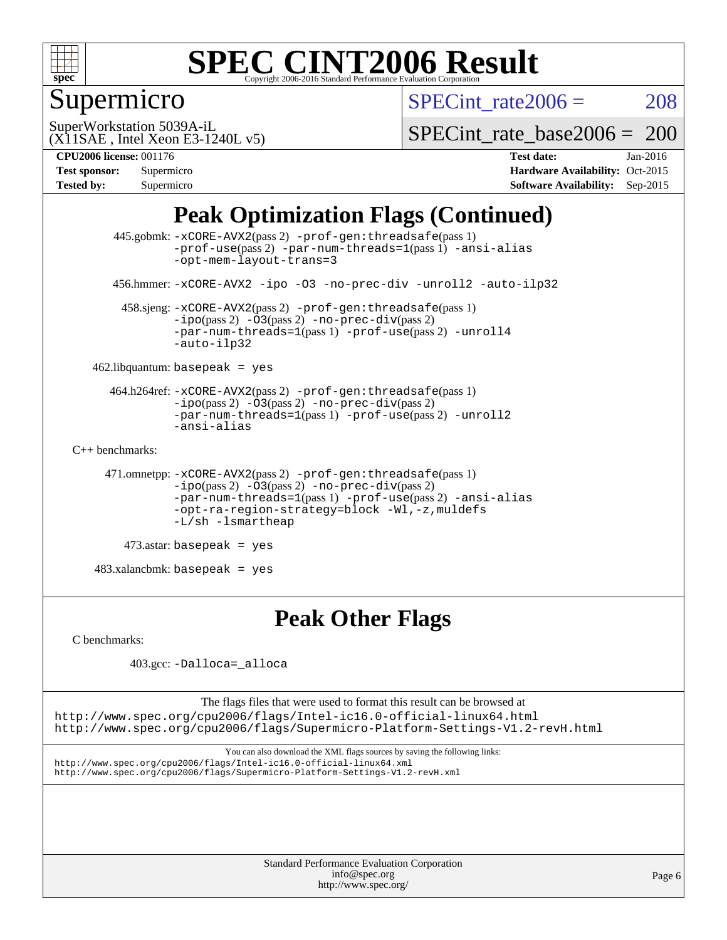

## Supermicro

SPECint rate $2006 = 208$ 

(X11SAE , Intel Xeon E3-1240L v5) SuperWorkstation 5039A-iL

[SPECint\\_rate\\_base2006 =](http://www.spec.org/auto/cpu2006/Docs/result-fields.html#SPECintratebase2006) 200

**[CPU2006 license:](http://www.spec.org/auto/cpu2006/Docs/result-fields.html#CPU2006license)** 001176 **[Test date:](http://www.spec.org/auto/cpu2006/Docs/result-fields.html#Testdate)** Jan-2016

| <b>Test sponsor:</b> | Supermicro |
|----------------------|------------|
| <b>Tested by:</b>    | Supermicro |

**[Hardware Availability:](http://www.spec.org/auto/cpu2006/Docs/result-fields.html#HardwareAvailability)** Oct-2015 **[Software Availability:](http://www.spec.org/auto/cpu2006/Docs/result-fields.html#SoftwareAvailability)** Sep-2015

## **[Peak Optimization Flags \(Continued\)](http://www.spec.org/auto/cpu2006/Docs/result-fields.html#PeakOptimizationFlags)**

```
 445.gobmk: -xCORE-AVX2(pass 2) -prof-gen:threadsafe(pass 1)
                -prof-use(pass 2) -par-num-threads=1(pass 1) -ansi-alias
                -opt-mem-layout-trans=3
       456.hmmer: -xCORE-AVX2 -ipo -O3 -no-prec-div -unroll2 -auto-ilp32
        458.sjeng: -xCORE-AVX2(pass 2) -prof-gen:threadsafe(pass 1)
                -i\text{po}(pass 2) -\overline{O}3(pass 2)-no-prec-div(pass 2)
                -par-num-threads=1-prof-use-unroll4
                -auto-ilp32
    462.libquantum: basepeak = yes
      464.h264ref: -xCORE-AVX2(pass 2) -prof-gen:threadsafe(pass 1)
               -ipo(pass 2) -O3(pass 2) -no-prec-div(pass 2)
               -par-num-threads=1(pass 1) -prof-use(pass 2) -unroll2
                -ansi-alias
C++ benchmarks: 
      471.omnetpp: -xCORE-AVX2(pass 2) -prof-gen:threadsafe(pass 1)
               -no-prec-div(pass 2)-par-num-threads=1(pass 1) -prof-use(pass 2) -ansi-alias
                -opt-ra-region-strategy=block -Wl,-z,muldefs
                -L/sh -lsmartheap
         473.astar: basepeak = yes
    483.xalancbmk: basepeak = yes
```
**[Peak Other Flags](http://www.spec.org/auto/cpu2006/Docs/result-fields.html#PeakOtherFlags)**

[C benchmarks](http://www.spec.org/auto/cpu2006/Docs/result-fields.html#Cbenchmarks):

403.gcc: [-Dalloca=\\_alloca](http://www.spec.org/cpu2006/results/res2016q1/cpu2006-20160111-38665.flags.html#b403.gcc_peakEXTRA_CFLAGS_Dalloca_be3056838c12de2578596ca5467af7f3)

The flags files that were used to format this result can be browsed at <http://www.spec.org/cpu2006/flags/Intel-ic16.0-official-linux64.html> <http://www.spec.org/cpu2006/flags/Supermicro-Platform-Settings-V1.2-revH.html>

You can also download the XML flags sources by saving the following links: <http://www.spec.org/cpu2006/flags/Intel-ic16.0-official-linux64.xml> <http://www.spec.org/cpu2006/flags/Supermicro-Platform-Settings-V1.2-revH.xml>